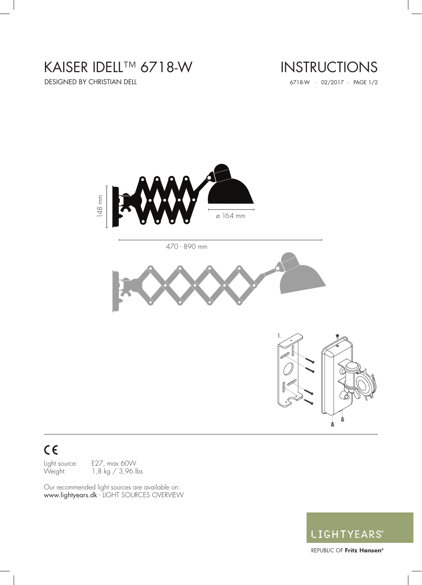# KAISER IDELL™ 6718-W

DESIGNED BY CHRISTIAN DELL 6718-W · 02/2017 · PAGE 1/2

# INSTRUCTIONS



# $C<sub>6</sub>$

Light source: E27, max 60W Weight: 1,8 kg / 3,96 lbs

Our recommended light sources are available on: www.lightyears.dk - LIGHT SOURCES OVERVIEW



REPUBLIC OF Fritz Hansen<sup>®</sup>